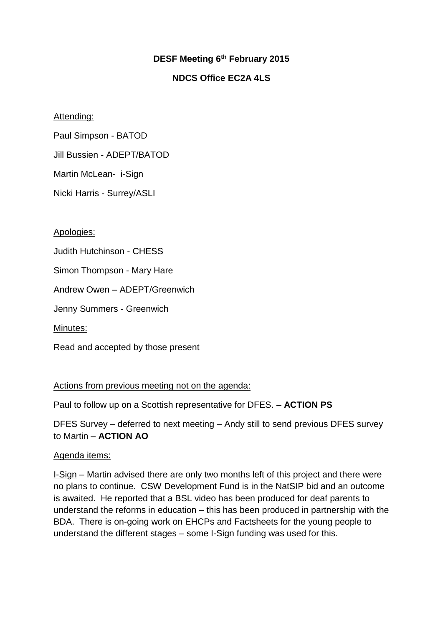# **DESF Meeting 6th February 2015**

# **NDCS Office EC2A 4LS**

## Attending:

Paul Simpson - BATOD

Jill Bussien - ADEPT/BATOD

Martin McLean- i-Sign

Nicki Harris - Surrey/ASLI

## Apologies:

Judith Hutchinson - CHESS

Simon Thompson - Mary Hare

Andrew Owen – ADEPT/Greenwich

Jenny Summers - Greenwich

Minutes:

Read and accepted by those present

## Actions from previous meeting not on the agenda:

Paul to follow up on a Scottish representative for DFES. – **ACTION PS**

DFES Survey – deferred to next meeting – Andy still to send previous DFES survey to Martin – **ACTION AO**

## Agenda items:

I-Sign – Martin advised there are only two months left of this project and there were no plans to continue. CSW Development Fund is in the NatSIP bid and an outcome is awaited. He reported that a BSL video has been produced for deaf parents to understand the reforms in education – this has been produced in partnership with the BDA. There is on-going work on EHCPs and Factsheets for the young people to understand the different stages – some I-Sign funding was used for this.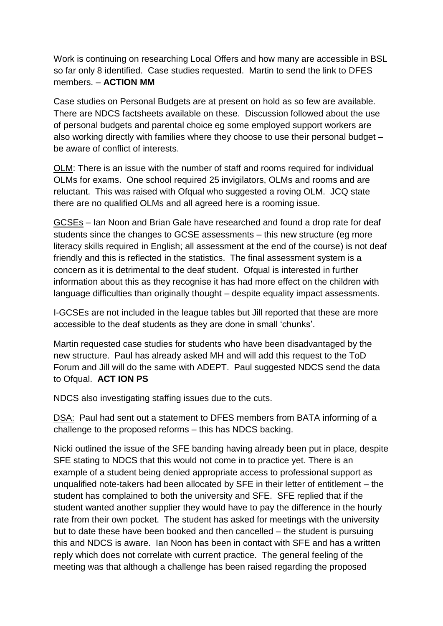Work is continuing on researching Local Offers and how many are accessible in BSL so far only 8 identified. Case studies requested. Martin to send the link to DFES members. – **ACTION MM**

Case studies on Personal Budgets are at present on hold as so few are available. There are NDCS factsheets available on these. Discussion followed about the use of personal budgets and parental choice eg some employed support workers are also working directly with families where they choose to use their personal budget – be aware of conflict of interests.

OLM: There is an issue with the number of staff and rooms required for individual OLMs for exams. One school required 25 invigilators, OLMs and rooms and are reluctant. This was raised with Ofgual who suggested a roving OLM. JCQ state there are no qualified OLMs and all agreed here is a rooming issue.

GCSEs – Ian Noon and Brian Gale have researched and found a drop rate for deaf students since the changes to GCSE assessments – this new structure (eg more literacy skills required in English; all assessment at the end of the course) is not deaf friendly and this is reflected in the statistics. The final assessment system is a concern as it is detrimental to the deaf student. Ofqual is interested in further information about this as they recognise it has had more effect on the children with language difficulties than originally thought – despite equality impact assessments.

I-GCSEs are not included in the league tables but Jill reported that these are more accessible to the deaf students as they are done in small 'chunks'.

Martin requested case studies for students who have been disadvantaged by the new structure. Paul has already asked MH and will add this request to the ToD Forum and Jill will do the same with ADEPT. Paul suggested NDCS send the data to Ofqual. **ACT ION PS**

NDCS also investigating staffing issues due to the cuts.

DSA: Paul had sent out a statement to DFES members from BATA informing of a challenge to the proposed reforms – this has NDCS backing.

Nicki outlined the issue of the SFE banding having already been put in place, despite SFE stating to NDCS that this would not come in to practice yet. There is an example of a student being denied appropriate access to professional support as unqualified note-takers had been allocated by SFE in their letter of entitlement – the student has complained to both the university and SFE. SFE replied that if the student wanted another supplier they would have to pay the difference in the hourly rate from their own pocket. The student has asked for meetings with the university but to date these have been booked and then cancelled – the student is pursuing this and NDCS is aware. Ian Noon has been in contact with SFE and has a written reply which does not correlate with current practice. The general feeling of the meeting was that although a challenge has been raised regarding the proposed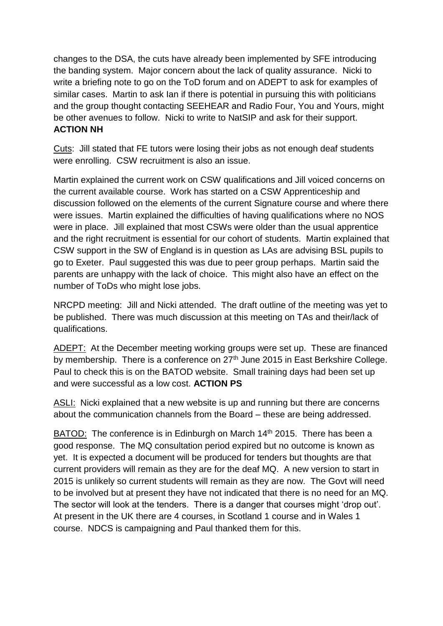changes to the DSA, the cuts have already been implemented by SFE introducing the banding system. Major concern about the lack of quality assurance. Nicki to write a briefing note to go on the ToD forum and on ADEPT to ask for examples of similar cases. Martin to ask Ian if there is potential in pursuing this with politicians and the group thought contacting SEEHEAR and Radio Four, You and Yours, might be other avenues to follow. Nicki to write to NatSIP and ask for their support. **ACTION NH**

Cuts: Jill stated that FE tutors were losing their jobs as not enough deaf students were enrolling. CSW recruitment is also an issue.

Martin explained the current work on CSW qualifications and Jill voiced concerns on the current available course. Work has started on a CSW Apprenticeship and discussion followed on the elements of the current Signature course and where there were issues. Martin explained the difficulties of having qualifications where no NOS were in place. Jill explained that most CSWs were older than the usual apprentice and the right recruitment is essential for our cohort of students. Martin explained that CSW support in the SW of England is in question as LAs are advising BSL pupils to go to Exeter. Paul suggested this was due to peer group perhaps. Martin said the parents are unhappy with the lack of choice. This might also have an effect on the number of ToDs who might lose jobs.

NRCPD meeting: Jill and Nicki attended. The draft outline of the meeting was yet to be published. There was much discussion at this meeting on TAs and their/lack of qualifications.

ADEPT: At the December meeting working groups were set up. These are financed by membership. There is a conference on  $27<sup>th</sup>$  June 2015 in East Berkshire College. Paul to check this is on the BATOD website. Small training days had been set up and were successful as a low cost. **ACTION PS**

ASLI: Nicki explained that a new website is up and running but there are concerns about the communication channels from the Board – these are being addressed.

BATOD: The conference is in Edinburgh on March 14<sup>th</sup> 2015. There has been a good response. The MQ consultation period expired but no outcome is known as yet. It is expected a document will be produced for tenders but thoughts are that current providers will remain as they are for the deaf MQ. A new version to start in 2015 is unlikely so current students will remain as they are now. The Govt will need to be involved but at present they have not indicated that there is no need for an MQ. The sector will look at the tenders. There is a danger that courses might 'drop out'. At present in the UK there are 4 courses, in Scotland 1 course and in Wales 1 course. NDCS is campaigning and Paul thanked them for this.